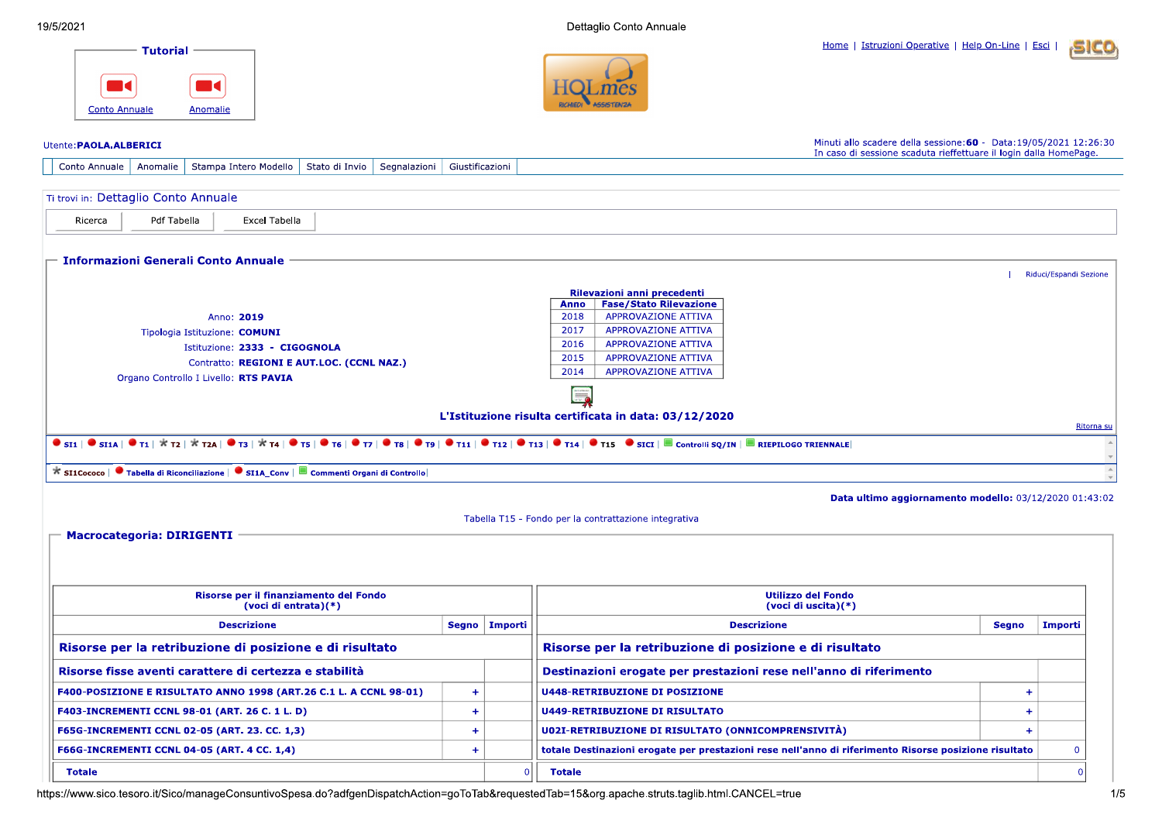Dettaglio Conto Annuale

Home | Istruzioni Operative | Help On-Line | Esci







## Minuti allo scadere della sessione: 60 - Data: 19/05/2021 12:26:30 Utente: PAOLA.ALBERICI In caso di sessione scaduta rieffettuare il login dalla HomePage. Conto Annuale | Anomalie | Stampa Intero Modello | Stato di Invio | Segnalazioni | Giustificazioni Ti trovi in: Dettaglio Conto Annuale Ricerca Pdf Tabella **Excel Tabella Informazioni Generali Conto Annuale** Riduci/Espandi Sezione Rilevazioni anni precedenti Anno | Fase/Stato Rilevazione 2018 **APPROVAZIONE ATTIVA** Anno: 2019 2017 **APPROVAZIONE ATTIVA** Tipologia Istituzione: COMUNI 2016 **APPROVAZIONE ATTIVA** Istituzione: 2333 - CIGOGNOLA 2015 **APPROVAZIONE ATTIVA** Contratto: REGIONI E AUT.LOC. (CCNL NAZ.) 2014 **APPROVAZIONE ATTIVA** Organo Controllo I Livello: RTS PAVIA L'Istituzione risulta certificata in data: 03/12/2020 Ritorna su **O** SI1 | O SI1 | O T1 |  $\star$  T2 |  $\star$  T2 |  $\star$  T4 | O T5 | O T6 | O T7 | O T8 | O T7 | O T8 | O T1 | O T12 | O T13 | O T14 | O T13 | O T14 | O T15 O SICI | O CONTROLLE RIEPILOGO TRIENNALE \* SI1Cococo | ● Tabella di Riconciliazione | ● SI1A\_Conv | ■ Commenti Organi di Controllo Data ultimo aggiornamento modello: 03/12/2020 01:43:02 Tabella T15 - Fondo per la contrattazione integrativa  $\blacksquare$  Macrocategoria: DIRIGENTI  $\blacksquare$ Risorse per il finanziamento del Fondo **Utilizzo del Fondo** (voci di entrata)(\*) (voci di uscita)(\*) **Descrizione** Segno | Importi **Descrizione Segno** Importi Risorse per la retribuzione di posizione e di risultato Risorse per la retribuzione di posizione e di risultato Risorse fisse aventi carattere di certezza e stabilità Destinazioni erogate per prestazioni rese nell'anno di riferimento F400-POSIZIONE E RISULTATO ANNO 1998 (ART.26 C.1 L. A CCNL 98-01) **U448-RETRIBUZIONE DI POSIZIONE**  $+$  $\ddot{\textbf{+}}$ F403-INCREMENTI CCNL 98-01 (ART. 26 C. 1 L. D)  $+$ **U449-RETRIBUZIONE DI RISULTATO**  $\pm$ F65G-INCREMENTI CCNL 02-05 (ART. 23. CC. 1,3)  $+$ **U02I-RETRIBUZIONE DI RISULTATO (ONNICOMPRENSIVITÀ)**  $+$ F66G-INCREMENTI CCNL 04-05 (ART. 4 CC. 1,4)  $+$ totale Destinazioni erogate per prestazioni rese nell'anno di riferimento Risorse posizione risultato  $\mathbf 0$ **Totale**  $\Omega$ **Totale**  $\overline{0}$

https://www.sico.tesoro.it/Sico/manageConsuntivoSpesa.do?adfgenDispatchAction=goToTab&requestedTab=15&org.apache.struts.taglib.html.CANCEL=true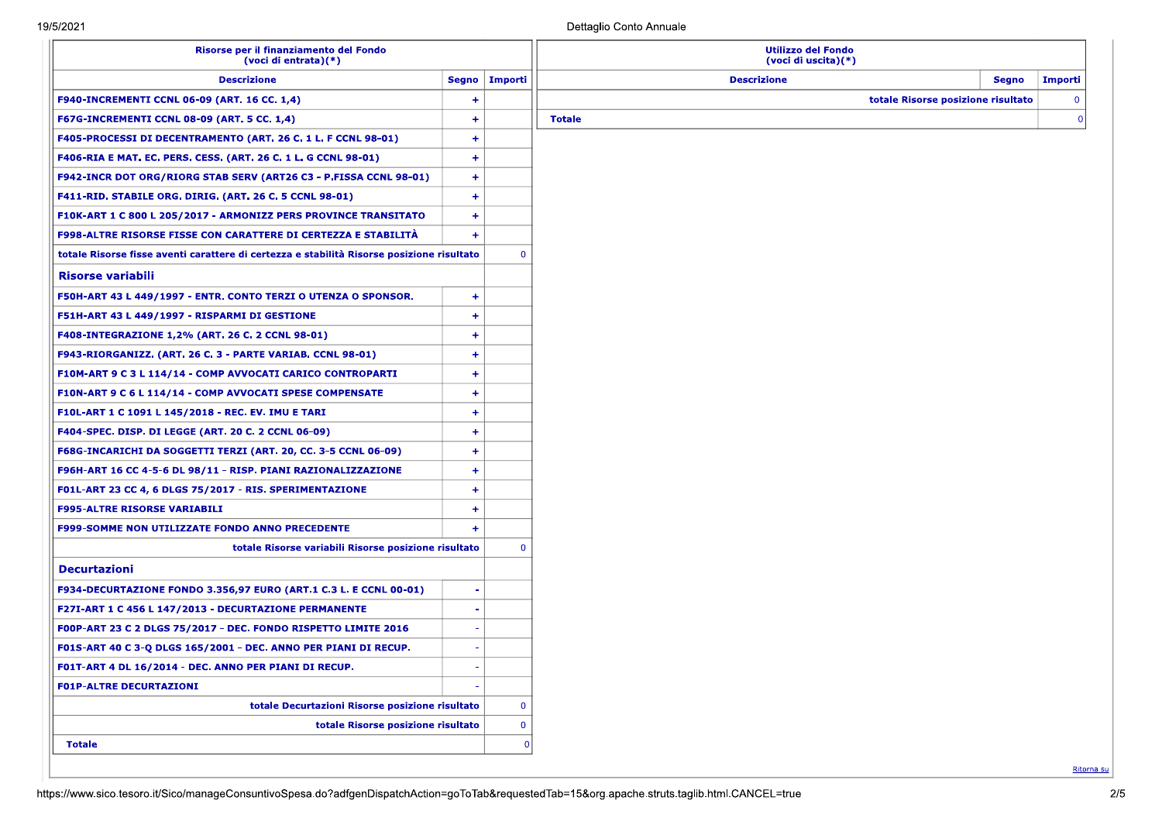| Risorse per il finanziamento del Fondo<br>(voci di entrata)(*)                                                                                  |                      |                         | <b>Utilizzo del Fondo</b><br>(voci di uscita)(*) |                                    |              |
|-------------------------------------------------------------------------------------------------------------------------------------------------|----------------------|-------------------------|--------------------------------------------------|------------------------------------|--------------|
| <b>Descrizione</b>                                                                                                                              | Segno   Importi      |                         | <b>Descrizione</b>                               | Segno                              | Importi      |
| F940-INCREMENTI CCNL 06-09 (ART. 16 CC. 1,4)                                                                                                    | $\ddot{}$            |                         |                                                  | totale Risorse posizione risultato | $\mathbf{0}$ |
| <b>F67G-INCREMENTI CCNL 08-09 (ART. 5 CC. 1,4)</b>                                                                                              | $\ddot{}$            |                         | <b>Totale</b>                                    |                                    | $\Omega$     |
| <b>F405-PROCESSI DI DECENTRAMENTO (ART. 26 C. 1 L. F CCNL 98-01)</b>                                                                            | $+$                  |                         |                                                  |                                    |              |
| F406-RIA E MAT. EC. PERS. CESS. (ART. 26 C. 1 L. G CCNL 98-01)                                                                                  | $\ddot{}$            |                         |                                                  |                                    |              |
| <b>F942-INCR DOT ORG/RIORG STAB SERV (ART26 C3 - P.FISSA CCNL 98-01)</b>                                                                        | $+$                  |                         |                                                  |                                    |              |
| <b>F411-RID. STABILE ORG. DIRIG. (ART. 26 C. 5 CCNL 98-01)</b>                                                                                  | $+$                  |                         |                                                  |                                    |              |
| F10K-ART 1 C 800 L 205/2017 - ARMONIZZ PERS PROVINCE TRANSITATO                                                                                 | $+$                  |                         |                                                  |                                    |              |
| F998-ALTRE RISORSE FISSE CON CARATTERE DI CERTEZZA E STABILITÀ                                                                                  | $+$                  |                         |                                                  |                                    |              |
| totale Risorse fisse aventi carattere di certezza e stabilità Risorse posizione risultato                                                       |                      | $\overline{0}$          |                                                  |                                    |              |
| <b>Risorse variabili</b>                                                                                                                        |                      |                         |                                                  |                                    |              |
| F50H-ART 43 L 449/1997 - ENTR. CONTO TERZI O UTENZA O SPONSOR.                                                                                  | $+$                  |                         |                                                  |                                    |              |
| F51H-ART 43 L 449/1997 - RISPARMI DI GESTIONE                                                                                                   | $+$                  |                         |                                                  |                                    |              |
| <b>F408-INTEGRAZIONE 1,2% (ART. 26 C. 2 CCNL 98-01)</b>                                                                                         | $+$                  |                         |                                                  |                                    |              |
| F943-RIORGANIZZ. (ART. 26 C. 3 - PARTE VARIAB. CCNL 98-01)                                                                                      | ٠                    |                         |                                                  |                                    |              |
| F10M-ART 9 C 3 L 114/14 - COMP AVVOCATI CARICO CONTROPARTI                                                                                      | $+$                  |                         |                                                  |                                    |              |
| F10N-ART 9 C 6 L 114/14 - COMP AVVOCATI SPESE COMPENSATE                                                                                        | $+$                  |                         |                                                  |                                    |              |
| F10L-ART 1 C 1091 L 145/2018 - REC. EV. IMU E TARI                                                                                              | $\ddot{\phantom{1}}$ |                         |                                                  |                                    |              |
| <b>F404-SPEC. DISP. DI LEGGE (ART. 20 C. 2 CCNL 06-09)</b>                                                                                      | $+$                  |                         |                                                  |                                    |              |
| F68G-INCARICHI DA SOGGETTI TERZI (ART. 20, CC. 3-5 CCNL 06-09)                                                                                  | $\ddot{\phantom{1}}$ |                         |                                                  |                                    |              |
| F96H-ART 16 CC 4-5-6 DL 98/11 - RISP. PIANI RAZIONALIZZAZIONE                                                                                   | $\ddot{}$            |                         |                                                  |                                    |              |
| F01L-ART 23 CC 4, 6 DLGS 75/2017 - RIS. SPERIMENTAZIONE                                                                                         | $+$                  |                         |                                                  |                                    |              |
| <b>F995-ALTRE RISORSE VARIABILI</b>                                                                                                             | $\ddot{}$            |                         |                                                  |                                    |              |
| <b>F999-SOMME NON UTILIZZATE FONDO ANNO PRECEDENTE</b>                                                                                          | $\ddot{}$            |                         |                                                  |                                    |              |
| totale Risorse variabili Risorse posizione risultato                                                                                            |                      | $\overline{0}$          |                                                  |                                    |              |
| <b>Decurtazioni</b>                                                                                                                             |                      |                         |                                                  |                                    |              |
| F934-DECURTAZIONE FONDO 3.356,97 EURO (ART.1 C.3 L. E CCNL 00-01)                                                                               |                      |                         |                                                  |                                    |              |
| F27I-ART 1 C 456 L 147/2013 - DECURTAZIONE PERMANENTE                                                                                           |                      |                         |                                                  |                                    |              |
| F00P-ART 23 C 2 DLGS 75/2017 - DEC. FONDO RISPETTO LIMITE 2016                                                                                  |                      |                         |                                                  |                                    |              |
| F01S-ART 40 C 3-Q DLGS 165/2001 - DEC. ANNO PER PIANI DI RECUP.                                                                                 |                      |                         |                                                  |                                    |              |
| F01T-ART 4 DL 16/2014 - DEC. ANNO PER PIANI DI RECUP.                                                                                           |                      |                         |                                                  |                                    |              |
| <b>FO1P-ALTRE DECURTAZIONI</b>                                                                                                                  |                      |                         |                                                  |                                    |              |
| totale Decurtazioni Risorse posizione risultato                                                                                                 |                      | $\overline{0}$          |                                                  |                                    |              |
| totale Risorse posizione risultato                                                                                                              |                      | $\overline{\mathbf{0}}$ |                                                  |                                    |              |
| <b>Totale</b>                                                                                                                                   |                      |                         |                                                  |                                    |              |
|                                                                                                                                                 |                      |                         |                                                  |                                    |              |
| https://www.sico.tesoro.it/Sico/manageConsuntivoSpesa.do?adfgenDispatchAction=goToTab&requestedTab=15&org.apache.struts.taglib.html.CANCEL=true |                      |                         |                                                  |                                    | Ritorna su   |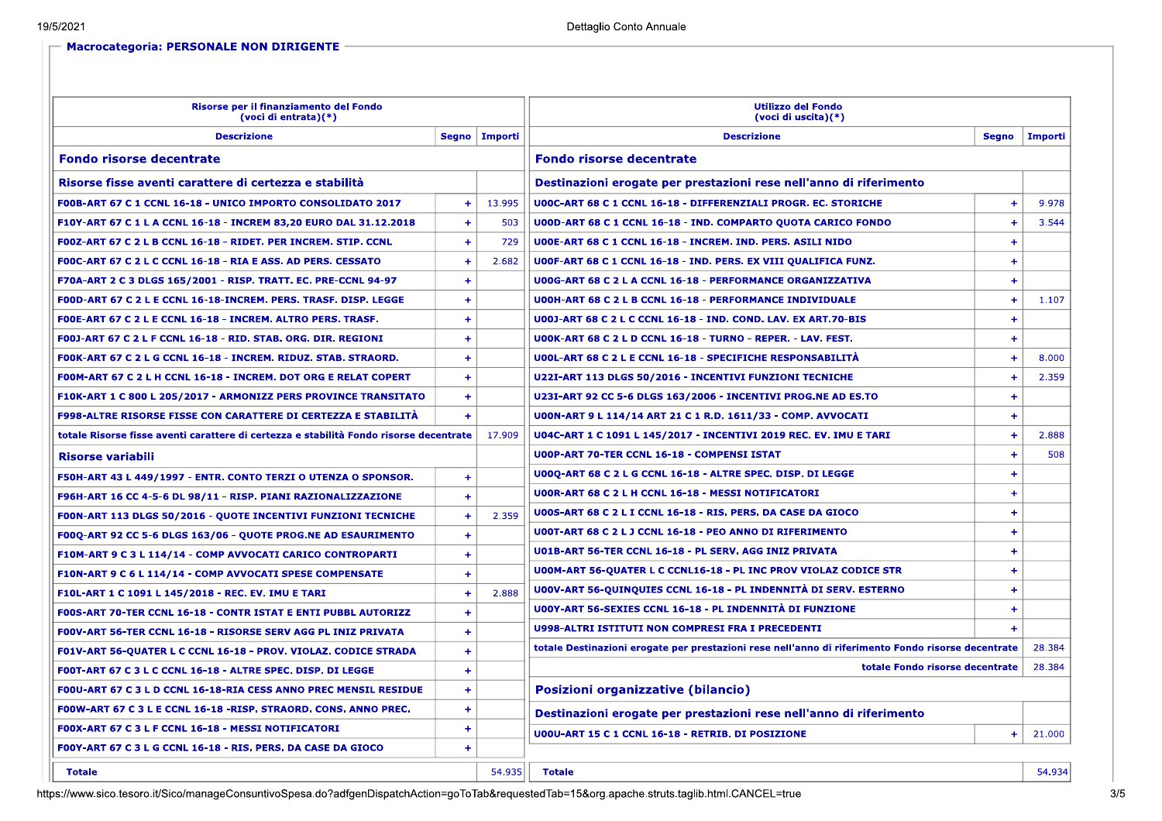| Risorse per il finanziamento del Fondo<br>(voci di entrata) $(*)$                      |           |                 | <b>Utilizzo del Fondo</b><br>(voci di uscita)(*)                                                   |                 |  |
|----------------------------------------------------------------------------------------|-----------|-----------------|----------------------------------------------------------------------------------------------------|-----------------|--|
| <b>Descrizione</b>                                                                     |           | Segno   Importi | <b>Descrizione</b>                                                                                 | Segno   Importi |  |
| <b>Fondo risorse decentrate</b>                                                        |           |                 | <b>Fondo risorse decentrate</b>                                                                    |                 |  |
| Risorse fisse aventi carattere di certezza e stabilità                                 |           |                 | Destinazioni erogate per prestazioni rese nell'anno di riferimento                                 |                 |  |
| F00B-ART 67 C 1 CCNL 16-18 - UNICO IMPORTO CONSOLIDATO 2017                            |           | 13.995          | <b>U00C-ART 68 C 1 CCNL 16-18 - DIFFERENZIALI PROGR. EC. STORICHE</b><br>$\ddot{}$                 | 9.978           |  |
| F10Y-ART 67 C 1 L A CCNL 16-18 - INCREM 83,20 EURO DAL 31.12.2018                      | $\ddot{}$ | 503             | <b>U00D-ART 68 C 1 CCNL 16-18 - IND. COMPARTO QUOTA CARICO FONDO</b><br>$\pm$                      | 3.544           |  |
| FOOZ-ART 67 C 2 L B CCNL 16-18 - RIDET. PER INCREM. STIP. CCNL                         | $+$       | 729             | U00E-ART 68 C 1 CCNL 16-18 - INCREM. IND. PERS. ASILI NIDO<br>$+$                                  |                 |  |
| F00C-ART 67 C 2 L C CCNL 16-18 - RIA E ASS. AD PERS. CESSATO                           |           | 2.682           | U00F-ART 68 C 1 CCNL 16-18 - IND. PERS. EX VIII QUALIFICA FUNZ.<br>$\overline{1}$                  |                 |  |
| F70A-ART 2 C 3 DLGS 165/2001 - RISP. TRATT. EC. PRE-CCNL 94-97                         | ٠         |                 | <b>U00G-ART 68 C 2 L A CCNL 16-18 - PERFORMANCE ORGANIZZATIVA</b><br>$\pm$                         |                 |  |
| FOOD-ART 67 C 2 L E CCNL 16-18-INCREM. PERS. TRASF. DISP. LEGGE                        | $+$       |                 | $+$<br><b>U00H-ART 68 C 2 L B CCNL 16-18 - PERFORMANCE INDIVIDUALE</b>                             | 1.107           |  |
| FOOE-ART 67 C 2 L E CCNL 16-18 - INCREM. ALTRO PERS. TRASF.                            | ٠         |                 | <b>U00J-ART 68 C 2 L C CCNL 16-18 - IND. COND. LAV. EX ART.70-BIS</b><br>$\pm$                     |                 |  |
| <b>F00J-ART 67 C 2 L F CCNL 16-18 - RID. STAB. ORG. DIR. REGIONI</b>                   | $\ddot{}$ |                 | <b>U00K-ART 68 C 2 L D CCNL 16-18 - TURNO - REPER. - LAV. FEST.</b><br>$+$                         |                 |  |
| FOOK-ART 67 C 2 L G CCNL 16-18 - INCREM. RIDUZ. STAB. STRAORD.                         | $+$       |                 | <b>U00L-ART 68 C 2 L E CCNL 16-18 - SPECIFICHE RESPONSABILITA</b><br>$\ddot{}$                     | 8.000           |  |
| F00M-ART 67 C 2 L H CCNL 16-18 - INCREM. DOT ORG E RELAT COPERT                        | ÷         |                 | U22I-ART 113 DLGS 50/2016 - INCENTIVI FUNZIONI TECNICHE                                            | 2.359           |  |
| F10K-ART 1 C 800 L 205/2017 - ARMONIZZ PERS PROVINCE TRANSITATO                        | $+$       |                 | U23I-ART 92 CC 5-6 DLGS 163/2006 - INCENTIVI PROG.NE AD ES.TO<br>$\ddot{}$                         |                 |  |
| <b>F998-ALTRE RISORSE FISSE CON CARATTERE DI CERTEZZA E STABILITÀ</b>                  |           |                 | $+$<br>U00N-ART 9 L 114/14 ART 21 C 1 R.D. 1611/33 - COMP. AVVOCATI                                |                 |  |
| totale Risorse fisse aventi carattere di certezza e stabilità Fondo risorse decentrate |           | 17.909          | $\overline{1}$<br>U04C-ART 1 C 1091 L 145/2017 - INCENTIVI 2019 REC. EV. IMU E TARI                | 2.888           |  |
| Risorse variabili                                                                      |           |                 | U00P-ART 70-TER CCNL 16-18 - COMPENSI ISTAT<br>$+$                                                 | 508             |  |
| F50H-ART 43 L 449/1997 - ENTR. CONTO TERZI O UTENZA O SPONSOR.                         | $+$       |                 | U00Q-ART 68 C 2 L G CCNL 16-18 - ALTRE SPEC. DISP. DI LEGGE<br>$\ddot{}$                           |                 |  |
| F96H-ART 16 CC 4-5-6 DL 98/11 - RISP. PIANI RAZIONALIZZAZIONE                          | $+$       |                 | <b>U00R-ART 68 C 2 L H CCNL 16-18 - MESSI NOTIFICATORI</b><br>$\pm$                                |                 |  |
| <b>FOON-ART 113 DLGS 50/2016 - QUOTE INCENTIVI FUNZIONI TECNICHE</b>                   | ٠         | 2.359           | U00S-ART 68 C 2 L I CCNL 16-18 - RIS. PERS. DA CASE DA GIOCO<br>$+$                                |                 |  |
| F00Q-ART 92 CC 5-6 DLGS 163/06 - QUOTE PROG.NE AD ESAURIMENTO                          | $+$       |                 | <b>U00T-ART 68 C 2 L J CCNL 16-18 - PEO ANNO DI RIFERIMENTO</b><br>$+$                             |                 |  |
| F10M-ART 9 C 3 L 114/14 - COMP AVVOCATI CARICO CONTROPARTI                             | ÷         |                 | U01B-ART 56-TER CCNL 16-18 - PL SERV. AGG INIZ PRIVATA<br>4                                        |                 |  |
| F10N-ART 9 C 6 L 114/14 - COMP AVVOCATI SPESE COMPENSATE                               | ÷         |                 | <b>U00M-ART 56-QUATER L C CCNL16-18 - PL INC PROV VIOLAZ CODICE STR</b><br>$\overline{1}$          |                 |  |
| F10L-ART 1 C 1091 L 145/2018 - REC. EV. IMU E TARI                                     | ٠         | 2.888           | U00V-ART 56-QUINQUIES CCNL 16-18 - PL INDENNITÀ DI SERV. ESTERNO<br>$\ddot{}$                      |                 |  |
| FOOS-ART 70-TER CCNL 16-18 - CONTR ISTAT E ENTI PUBBL AUTORIZZ                         | ÷         |                 | U00Y-ART 56-SEXIES CCNL 16-18 - PL INDENNITÀ DI FUNZIONE<br><b>+</b>                               |                 |  |
| F00V-ART 56-TER CCNL 16-18 - RISORSE SERV AGG PL INIZ PRIVATA                          | ÷         |                 | <b>U998-ALTRI ISTITUTI NON COMPRESI FRA I PRECEDENTI</b>                                           |                 |  |
| F01V-ART 56-QUATER L C CCNL 16-18 - PROV. VIOLAZ. CODICE STRADA                        | $\ddot{}$ |                 | totale Destinazioni erogate per prestazioni rese nell'anno di riferimento Fondo risorse decentrate | 28.384          |  |
| F00T-ART 67 C 3 L C CCNL 16-18 - ALTRE SPEC. DISP. DI LEGGE                            | ÷         |                 | 28.384<br>totale Fondo risorse decentrate                                                          |                 |  |
| F00U-ART 67 C 3 L D CCNL 16-18-RIA CESS ANNO PREC MENSIL RESIDUE                       | ÷         |                 | Posizioni organizzative (bilancio)                                                                 |                 |  |
| FOOW-ART 67 C 3 L E CCNL 16-18 -RISP. STRAORD. CONS. ANNO PREC.                        | $+$       |                 | Destinazioni erogate per prestazioni rese nell'anno di riferimento                                 |                 |  |
| FOOX-ART 67 C 3 L F CCNL 16-18 - MESSI NOTIFICATORI                                    | ٠         |                 | U00U-ART 15 C 1 CCNL 16-18 - RETRIB. DI POSIZIONE<br>$\overline{+}$                                | 21.000          |  |
| F00Y-ART 67 C 3 L G CCNL 16-18 - RIS. PERS. DA CASE DA GIOCO                           |           |                 |                                                                                                    |                 |  |
| <b>Totale</b>                                                                          |           | 54.935          | <b>Totale</b>                                                                                      | 54.934          |  |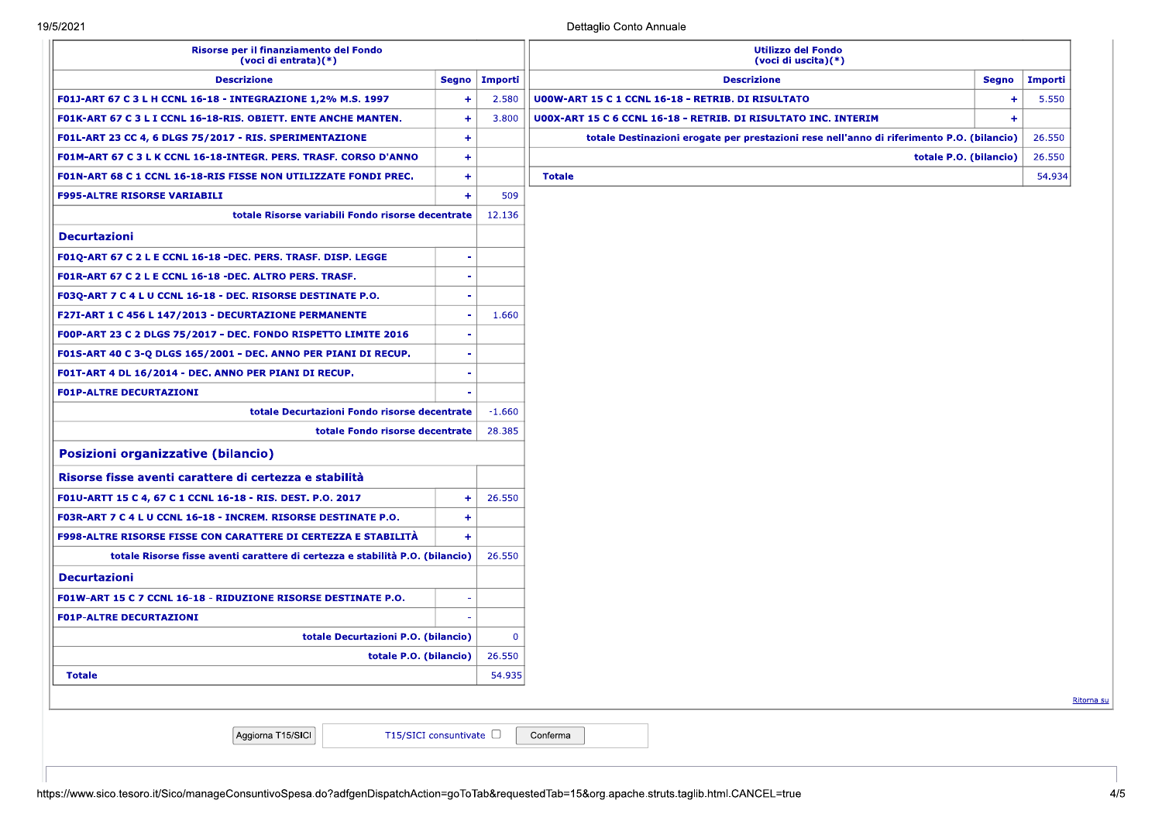| Risorse per il finanziamento del Fondo<br>(voci di entrata)(*)                |                      | <b>Utilizzo del Fondo</b><br>(voci di uscita)(*) |                                                                                           |              |            |
|-------------------------------------------------------------------------------|----------------------|--------------------------------------------------|-------------------------------------------------------------------------------------------|--------------|------------|
| <b>Descrizione</b>                                                            | Segno                | Importi                                          | <b>Descrizione</b>                                                                        | <b>Segno</b> | Importi    |
| F01J-ART 67 C 3 L H CCNL 16-18 - INTEGRAZIONE 1,2% M.S. 1997                  | $\ddot{}$            | 2.580                                            | <b>U00W-ART 15 C 1 CCNL 16-18 - RETRIB. DI RISULTATO</b>                                  | ÷            | 5.550      |
| F01K-ART 67 C 3 L I CCNL 16-18-RIS. OBIETT. ENTE ANCHE MANTEN.                | $\ddot{\textbf{t}}$  | 3.800                                            | U00X-ART 15 C 6 CCNL 16-18 - RETRIB. DI RISULTATO INC. INTERIM                            | $+$          |            |
| F01L-ART 23 CC 4, 6 DLGS 75/2017 - RIS. SPERIMENTAZIONE                       | $\ddot{\phantom{1}}$ |                                                  | totale Destinazioni erogate per prestazioni rese nell'anno di riferimento P.O. (bilancio) |              | 26.550     |
| F01M-ART 67 C 3 L K CCNL 16-18-INTEGR. PERS. TRASF. CORSO D'ANNO              | $\ddot{}$            |                                                  | totale P.O. (bilancio)                                                                    |              | 26.550     |
| F01N-ART 68 C 1 CCNL 16-18-RIS FISSE NON UTILIZZATE FONDI PREC.               | $\ddot{\textbf{+}}$  |                                                  | <b>Totale</b>                                                                             |              | 54.934     |
| <b>F995-ALTRE RISORSE VARIABILI</b>                                           | $\ddot{}$            | 509                                              |                                                                                           |              |            |
| totale Risorse variabili Fondo risorse decentrate                             |                      | 12.136                                           |                                                                                           |              |            |
| <b>Decurtazioni</b>                                                           |                      |                                                  |                                                                                           |              |            |
| F01Q-ART 67 C 2 L E CCNL 16-18 -DEC. PERS. TRASF. DISP. LEGGE                 |                      |                                                  |                                                                                           |              |            |
| F01R-ART 67 C 2 L E CCNL 16-18 -DEC. ALTRO PERS. TRASF.                       |                      |                                                  |                                                                                           |              |            |
| F03Q-ART 7 C 4 L U CCNL 16-18 - DEC. RISORSE DESTINATE P.O.                   |                      |                                                  |                                                                                           |              |            |
| F27I-ART 1 C 456 L 147/2013 - DECURTAZIONE PERMANENTE                         |                      | 1.660                                            |                                                                                           |              |            |
| F00P-ART 23 C 2 DLGS 75/2017 - DEC. FONDO RISPETTO LIMITE 2016                |                      |                                                  |                                                                                           |              |            |
| F01S-ART 40 C 3-Q DLGS 165/2001 - DEC. ANNO PER PIANI DI RECUP.               |                      |                                                  |                                                                                           |              |            |
| F01T-ART 4 DL 16/2014 - DEC. ANNO PER PIANI DI RECUP.                         |                      |                                                  |                                                                                           |              |            |
| <b>F01P-ALTRE DECURTAZIONI</b>                                                |                      |                                                  |                                                                                           |              |            |
| totale Decurtazioni Fondo risorse decentrate                                  |                      | $-1.660$                                         |                                                                                           |              |            |
| totale Fondo risorse decentrate                                               |                      | 28.385                                           |                                                                                           |              |            |
| Posizioni organizzative (bilancio)                                            |                      |                                                  |                                                                                           |              |            |
| Risorse fisse aventi carattere di certezza e stabilità                        |                      |                                                  |                                                                                           |              |            |
| F01U-ARTT 15 C 4, 67 C 1 CCNL 16-18 - RIS. DEST. P.O. 2017                    | $\ddot{}$            | 26.550                                           |                                                                                           |              |            |
| F03R-ART 7 C 4 L U CCNL 16-18 - INCREM. RISORSE DESTINATE P.O.                | $\ddot{}$            |                                                  |                                                                                           |              |            |
| F998-ALTRE RISORSE FISSE CON CARATTERE DI CERTEZZA E STABILITÀ                | $\ddot{}$            |                                                  |                                                                                           |              |            |
| totale Risorse fisse aventi carattere di certezza e stabilità P.O. (bilancio) |                      | 26.550                                           |                                                                                           |              |            |
| <b>Decurtazioni</b>                                                           |                      |                                                  |                                                                                           |              |            |
| F01W-ART 15 C 7 CCNL 16-18 - RIDUZIONE RISORSE DESTINATE P.O.                 |                      |                                                  |                                                                                           |              |            |
| <b>F01P-ALTRE DECURTAZIONI</b>                                                |                      |                                                  |                                                                                           |              |            |
| totale Decurtazioni P.O. (bilancio)                                           |                      | $\mathbf{0}$                                     |                                                                                           |              |            |
| totale P.O. (bilancio) $\vert$ 26.550                                         |                      |                                                  |                                                                                           |              |            |
| 54.935<br><b>Totale</b>                                                       |                      |                                                  |                                                                                           |              |            |
|                                                                               |                      |                                                  |                                                                                           |              | Ritorna su |
|                                                                               |                      |                                                  |                                                                                           |              |            |
| Aggiorna T15/SICI<br>T15/SICI consuntivate $\Box$                             |                      |                                                  | Conferma                                                                                  |              |            |
|                                                                               |                      |                                                  |                                                                                           |              |            |